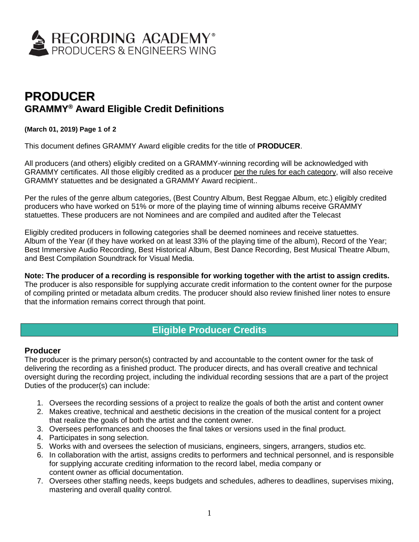

# **PRODUCER GRAMMY ® Award Eligible Credit Definitions**

#### **(March 01, 2019) Page 1 of 2**

This document defines GRAMMY Award eligible credits for the title of **PRODUCER**.

All producers (and others) eligibly credited on a GRAMMY-winning recording will be acknowledged with GRAMMY certificates. All those eligibly credited as a producer per the rules for each category, will also receive GRAMMY statuettes and be designated a GRAMMY Award recipient..

Per the rules of the genre album categories, (Best Country Album, Best Reggae Album, etc.) eligibly credited producers who have worked on 51% or more of the playing time of winning albums receive GRAMMY statuettes. These producers are not Nominees and are compiled and audited after the Telecast

Eligibly credited producers in following categories shall be deemed nominees and receive statuettes. Album of the Year (if they have worked on at least 33% of the playing time of the album), Record of the Year; Best Immersive Audio Recording, Best Historical Album, Best Dance Recording, Best Musical Theatre Album, and Best Compilation Soundtrack for Visual Media.

# **Note: The producer of a recording is responsible for working together with the artist to assign credits.**

The producer is also responsible for supplying accurate credit information to the content owner for the purpose of compiling printed or metadata album credits. The producer should also review finished liner notes to ensure that the information remains correct through that point.

# **Eligible Producer Credits**

## **Producer**

The producer is the primary person(s) contracted by and accountable to the content owner for the task of delivering the recording as a finished product. The producer directs, and has overall creative and technical oversight during the recording project, including the individual recording sessions that are a part of the project Duties of the producer(s) can include:

- 1. Oversees the recording sessions of a project to realize the goals of both the artist and content owner
- 2. Makes creative, technical and aesthetic decisions in the creation of the musical content for a project that realize the goals of both the artist and the content owner.
- 3. Oversees performances and chooses the final takes or versions used in the final product.
- 4. Participates in song selection.
- 5. Works with and oversees the selection of musicians, engineers, singers, arrangers, studios etc.
- 6. In collaboration with the artist, assigns credits to performers and technical personnel, and is responsible for supplying accurate crediting information to the record label, media company or content owner as official documentation.
- 7. Oversees other staffing needs, keeps budgets and schedules, adheres to deadlines, supervises mixing, mastering and overall quality control.